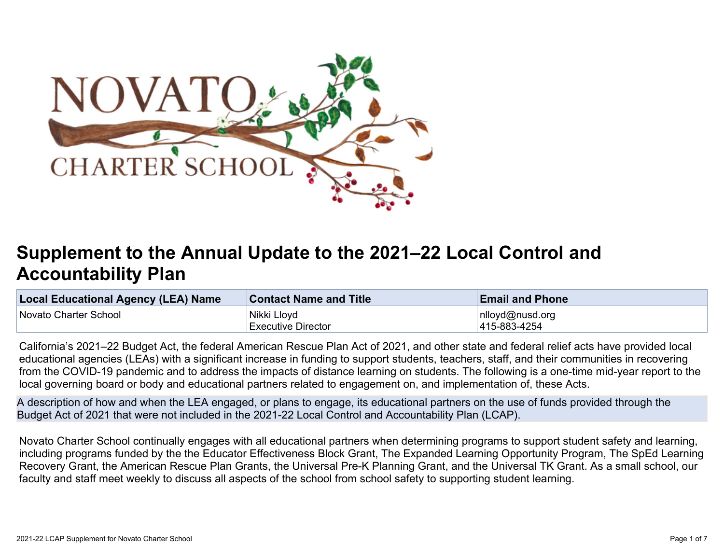

# **Supplement to the Annual Update to the 2021–22 Local Control and Accountability Plan**

| Local Educational Agency (LEA) Name | <b>Contact Name and Title</b> | <b>Email and Phone</b> |
|-------------------------------------|-------------------------------|------------------------|
| Novato Charter School               | Nikki Lloyd                   | nlloyd@nusd.org        |
|                                     | <b>Executive Director</b>     | 415-883-4254           |

California's 2021–22 Budget Act, the federal American Rescue Plan Act of 2021, and other state and federal relief acts have provided local educational agencies (LEAs) with a significant increase in funding to support students, teachers, staff, and their communities in recovering from the COVID-19 pandemic and to address the impacts of distance learning on students. The following is a one-time mid-year report to the local governing board or body and educational partners related to engagement on, and implementation of, these Acts.

A description of how and when the LEA engaged, or plans to engage, its educational partners on the use of funds provided through the Budget Act of 2021 that were not included in the 2021-22 Local Control and Accountability Plan (LCAP).

Novato Charter School continually engages with all educational partners when determining programs to support student safety and learning, including programs funded by the the Educator Effectiveness Block Grant, The Expanded Learning Opportunity Program, The SpEd Learning Recovery Grant, the American Rescue Plan Grants, the Universal Pre-K Planning Grant, and the Universal TK Grant. As a small school, our faculty and staff meet weekly to discuss all aspects of the school from school safety to supporting student learning.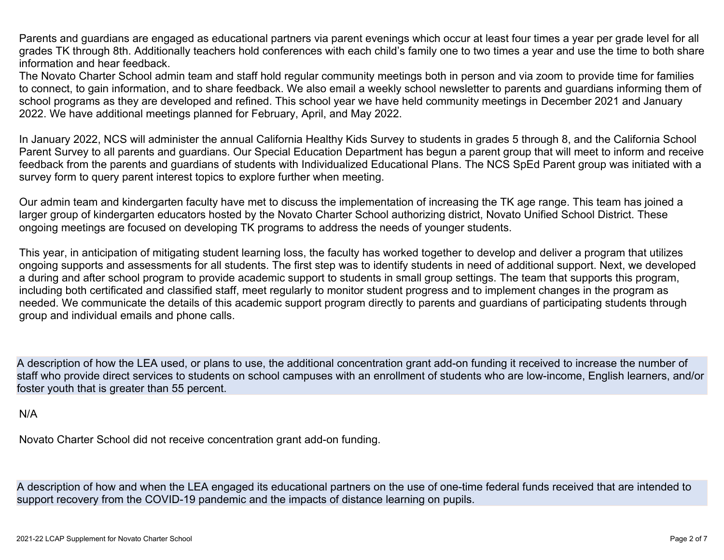Parents and guardians are engaged as educational partners via parent evenings which occur at least four times a year per grade level for all grades TK through 8th. Additionally teachers hold conferences with each child's family one to two times a year and use the time to both share information and hear feedback.

The Novato Charter School admin team and staff hold regular community meetings both in person and via zoom to provide time for families to connect, to gain information, and to share feedback. We also email a weekly school newsletter to parents and guardians informing them of school programs as they are developed and refined. This school year we have held community meetings in December 2021 and January 2022. We have additional meetings planned for February, April, and May 2022.

In January 2022, NCS will administer the annual California Healthy Kids Survey to students in grades 5 through 8, and the California School Parent Survey to all parents and guardians. Our Special Education Department has begun a parent group that will meet to inform and receive feedback from the parents and guardians of students with Individualized Educational Plans. The NCS SpEd Parent group was initiated with a survey form to query parent interest topics to explore further when meeting.

Our admin team and kindergarten faculty have met to discuss the implementation of increasing the TK age range. This team has joined a larger group of kindergarten educators hosted by the Novato Charter School authorizing district, Novato Unified School District. These ongoing meetings are focused on developing TK programs to address the needs of younger students.

This year, in anticipation of mitigating student learning loss, the faculty has worked together to develop and deliver a program that utilizes ongoing supports and assessments for all students. The first step was to identify students in need of additional support. Next, we developed a during and after school program to provide academic support to students in small group settings. The team that supports this program, including both certificated and classified staff, meet regularly to monitor student progress and to implement changes in the program as needed. We communicate the details of this academic support program directly to parents and guardians of participating students through group and individual emails and phone calls.

A description of how the LEA used, or plans to use, the additional concentration grant add-on funding it received to increase the number of staff who provide direct services to students on school campuses with an enrollment of students who are low-income, English learners, and/or foster youth that is greater than 55 percent.

#### N/A

Novato Charter School did not receive concentration grant add-on funding.

A description of how and when the LEA engaged its educational partners on the use of one-time federal funds received that are intended to support recovery from the COVID-19 pandemic and the impacts of distance learning on pupils.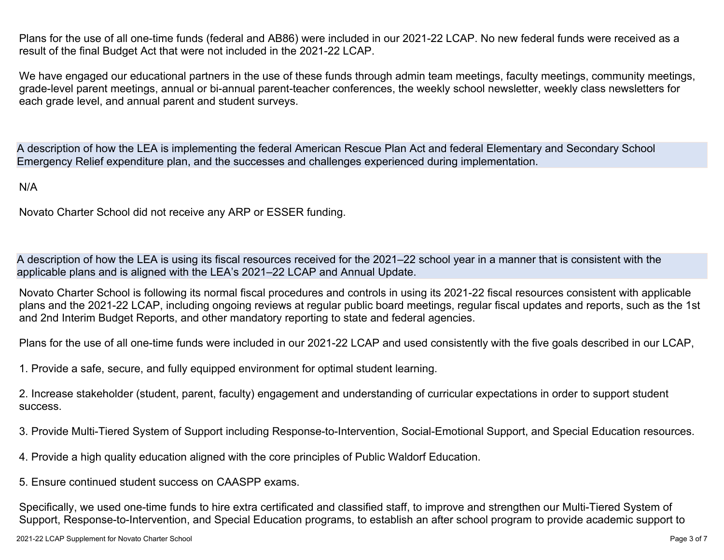Plans for the use of all one-time funds (federal and AB86) were included in our 2021-22 LCAP. No new federal funds were received as a result of the final Budget Act that were not included in the 2021-22 LCAP.

We have engaged our educational partners in the use of these funds through admin team meetings, faculty meetings, community meetings, grade-level parent meetings, annual or bi-annual parent-teacher conferences, the weekly school newsletter, weekly class newsletters for each grade level, and annual parent and student surveys.

A description of how the LEA is implementing the federal American Rescue Plan Act and federal Elementary and Secondary School Emergency Relief expenditure plan, and the successes and challenges experienced during implementation.

#### N/A

Novato Charter School did not receive any ARP or ESSER funding.

A description of how the LEA is using its fiscal resources received for the 2021–22 school year in a manner that is consistent with the applicable plans and is aligned with the LEA's 2021–22 LCAP and Annual Update.

Novato Charter School is following its normal fiscal procedures and controls in using its 2021-22 fiscal resources consistent with applicable plans and the 2021-22 LCAP, including ongoing reviews at regular public board meetings, regular fiscal updates and reports, such as the 1st and 2nd Interim Budget Reports, and other mandatory reporting to state and federal agencies.

Plans for the use of all one-time funds were included in our 2021-22 LCAP and used consistently with the five goals described in our LCAP,

1. Provide a safe, secure, and fully equipped environment for optimal student learning.

2. Increase stakeholder (student, parent, faculty) engagement and understanding of curricular expectations in order to support student success.

3. Provide Multi-Tiered System of Support including Response-to-Intervention, Social-Emotional Support, and Special Education resources.

- 4. Provide a high quality education aligned with the core principles of Public Waldorf Education.
- 5. Ensure continued student success on CAASPP exams.

Specifically, we used one-time funds to hire extra certificated and classified staff, to improve and strengthen our Multi-Tiered System of Support, Response-to-Intervention, and Special Education programs, to establish an after school program to provide academic support to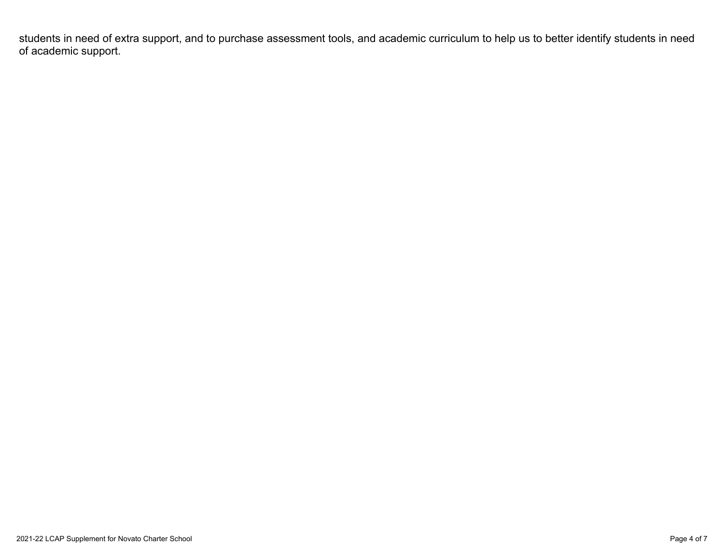students in need of extra support, and to purchase assessment tools, and academic curriculum to help us to better identify students in need of academic support.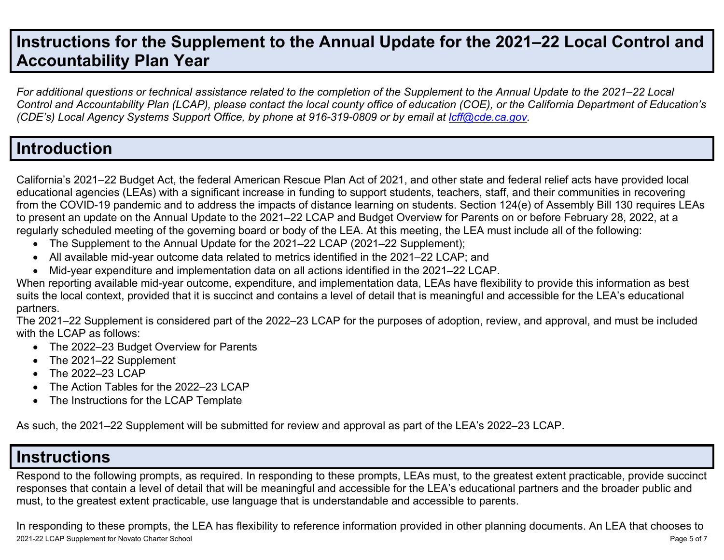# **Instructions for the Supplement to the Annual Update for the 2021–22 Local Control and Accountability Plan Year**

For additional questions or technical assistance related to the completion of the Supplement to the Annual Update to the 2021–22 Local Control and Accountability Plan (LCAP), please contact the local county office of education (COE), or the California Department of Education's *(CDE's) Local Agency Systems Support Office, by phone at 916-319-0809 or by email at [lcff@cde.ca.gov](mailto:lcff@cde.ca.gov).*

### **Introduction**

California's 2021–22 Budget Act, the federal American Rescue Plan Act of 2021, and other state and federal relief acts have provided local educational agencies (LEAs) with a significant increase in funding to support students, teachers, staff, and their communities in recovering from the COVID-19 pandemic and to address the impacts of distance learning on students. Section 124(e) of Assembly Bill 130 requires LEAs to present an update on the Annual Update to the 2021–22 LCAP and Budget Overview for Parents on or before February 28, 2022, at a regularly scheduled meeting of the governing board or body of the LEA. At this meeting, the LEA must include all of the following:

- The Supplement to the Annual Update for the 2021–22 LCAP (2021–22 Supplement);
- All available mid-year outcome data related to metrics identified in the 2021–22 LCAP; and
- Mid-year expenditure and implementation data on all actions identified in the 2021–22 LCAP.

When reporting available mid-year outcome, expenditure, and implementation data, LEAs have flexibility to provide this information as best suits the local context, provided that it is succinct and contains a level of detail that is meaningful and accessible for the LEA's educational partners.

The 2021–22 Supplement is considered part of the 2022–23 LCAP for the purposes of adoption, review, and approval, and must be included with the LCAP as follows:

- The 2022–23 Budget Overview for Parents
- The 2021–22 Supplement
- The 2022-23 LCAP
- The Action Tables for the 2022–23 LCAP
- The Instructions for the LCAP Template

As such, the 2021–22 Supplement will be submitted for review and approval as part of the LEA's 2022–23 LCAP.

## **Instructions**

Respond to the following prompts, as required. In responding to these prompts, LEAs must, to the greatest extent practicable, provide succinct responses that contain a level of detail that will be meaningful and accessible for the LEA's educational partners and the broader public and must, to the greatest extent practicable, use language that is understandable and accessible to parents.

2021-22 LCAP Supplement for Novato Charter School Page 5 of 7 In responding to these prompts, the LEA has flexibility to reference information provided in other planning documents. An LEA that chooses to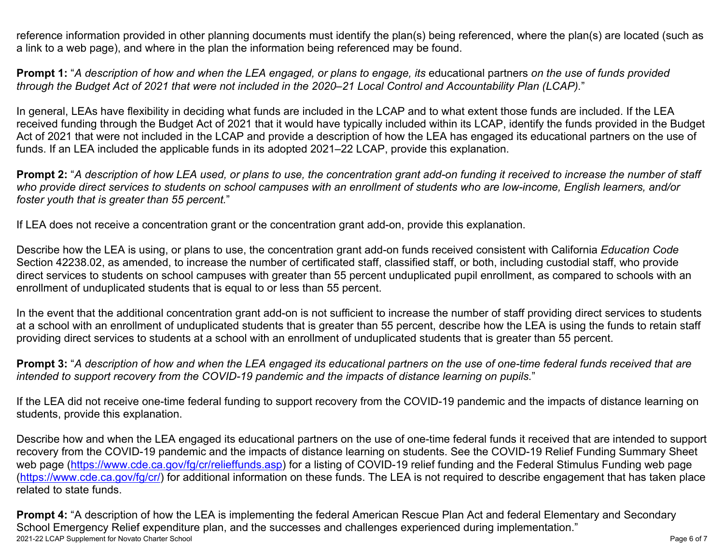reference information provided in other planning documents must identify the plan(s) being referenced, where the plan(s) are located (such as a link to a web page), and where in the plan the information being referenced may be found.

**Prompt 1:** "A description of how and when the LEA engaged, or plans to engage, its educational partners on the use of funds provided through the Budget Act of 2021 that were not included in the 2020–21 Local Control and Accountability Plan (LCAP)."

In general, LEAs have flexibility in deciding what funds are included in the LCAP and to what extent those funds are included. If the LEA received funding through the Budget Act of 2021 that it would have typically included within its LCAP, identify the funds provided in the Budget Act of 2021 that were not included in the LCAP and provide a description of how the LEA has engaged its educational partners on the use of funds. If an LEA included the applicable funds in its adopted 2021–22 LCAP, provide this explanation.

**Prompt 2:** "A description of how LEA used, or plans to use, the concentration grant add-on funding it received to increase the number of staff who provide direct services to students on school campuses with an enrollment of students who are low-income, English learners, and/or *foster youth that is greater than 55 percent.*"

If LEA does not receive a concentration grant or the concentration grant add-on, provide this explanation.

Describe how the LEA is using, or plans to use, the concentration grant add-on funds received consistent with California *Education Code* Section 42238.02, as amended, to increase the number of certificated staff, classified staff, or both, including custodial staff, who provide direct services to students on school campuses with greater than 55 percent unduplicated pupil enrollment, as compared to schools with an enrollment of unduplicated students that is equal to or less than 55 percent.

In the event that the additional concentration grant add-on is not sufficient to increase the number of staff providing direct services to students at a school with an enrollment of unduplicated students that is greater than 55 percent, describe how the LEA is using the funds to retain staff providing direct services to students at a school with an enrollment of unduplicated students that is greater than 55 percent.

**Prompt 3:** "A description of how and when the LEA engaged its educational partners on the use of one-time federal funds received that are *intended to support recovery from the COVID-19 pandemic and the impacts of distance learning on pupils.*"

If the LEA did not receive one-time federal funding to support recovery from the COVID-19 pandemic and the impacts of distance learning on students, provide this explanation.

Describe how and when the LEA engaged its educational partners on the use of one-time federal funds it received that are intended to support recovery from the COVID-19 pandemic and the impacts of distance learning on students. See the COVID-19 Relief Funding Summary Sheet web page [\(https://www.cde.ca.gov/fg/cr/relieffunds.asp\)](https://www.cde.ca.gov/fg/cr/relieffunds.asp) for a listing of COVID-19 relief funding and the Federal Stimulus Funding web page (<https://www.cde.ca.gov/fg/cr/>) for additional information on these funds. The LEA is not required to describe engagement that has taken place related to state funds.

2021-22 LCAP Supplement for Novato Charter School **Page 6 of 7** Novato Charter School Page 6 of 7 **Prompt 4:** "A description of how the LEA is implementing the federal American Rescue Plan Act and federal Elementary and Secondary School Emergency Relief expenditure plan, and the successes and challenges experienced during implementation."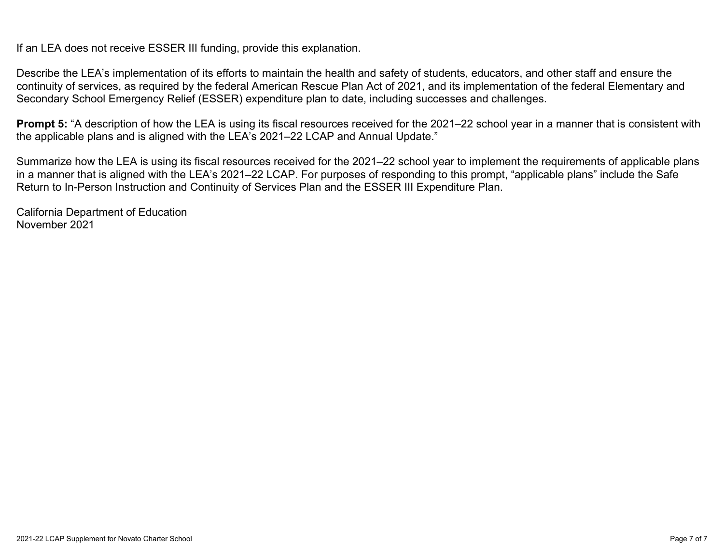If an LEA does not receive ESSER III funding, provide this explanation.

Describe the LEA's implementation of its efforts to maintain the health and safety of students, educators, and other staff and ensure the continuity of services, as required by the federal American Rescue Plan Act of 2021, and its implementation of the federal Elementary and Secondary School Emergency Relief (ESSER) expenditure plan to date, including successes and challenges.

**Prompt 5:** "A description of how the LEA is using its fiscal resources received for the 2021–22 school year in a manner that is consistent with the applicable plans and is aligned with the LEA's 2021–22 LCAP and Annual Update."

Summarize how the LEA is using its fiscal resources received for the 2021–22 school year to implement the requirements of applicable plans in a manner that is aligned with the LEA's 2021–22 LCAP. For purposes of responding to this prompt, "applicable plans" include the Safe Return to In-Person Instruction and Continuity of Services Plan and the ESSER III Expenditure Plan.

California Department of Education November 2021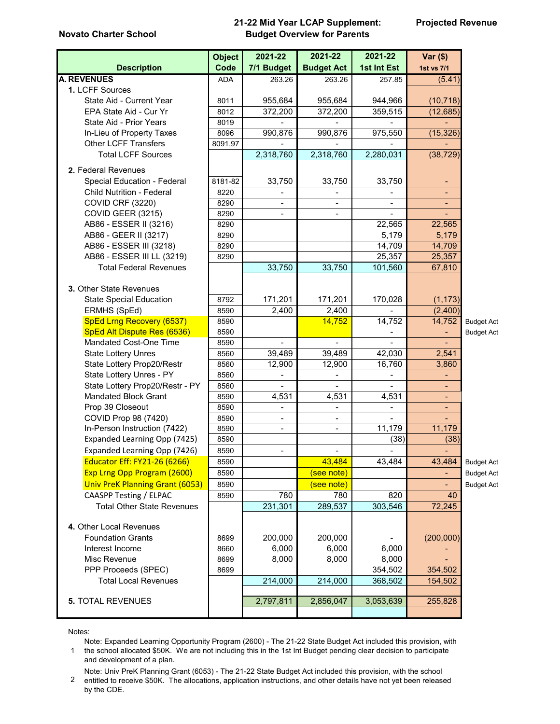#### **Novato Charter School**

#### **21-22 Mid Year LCAP Supplement: Budget Overview for Parents**

|                                        | <b>Object</b> | 2021-22                  | 2021-22                  | 2021-22                  | $Var($)$                     |                   |
|----------------------------------------|---------------|--------------------------|--------------------------|--------------------------|------------------------------|-------------------|
| <b>Description</b>                     | Code          | 7/1 Budget               | <b>Budget Act</b>        | 1st Int Est              | 1st vs 7/1                   |                   |
| <b>A. REVENUES</b>                     | ADA           | 263.26                   | 263.26                   | 257.85                   | (5.41)                       |                   |
| 1. LCFF Sources                        |               |                          |                          |                          |                              |                   |
| State Aid - Current Year               | 8011          | 955,684                  | 955,684                  | 944,966                  | (10, 718)                    |                   |
| EPA State Aid - Cur Yr                 | 8012          | 372,200                  | 372,200                  | 359,515                  | (12, 685)                    |                   |
| State Aid - Prior Years                | 8019          |                          |                          |                          |                              |                   |
| In-Lieu of Property Taxes              | 8096          | 990,876                  | 990,876                  | 975,550                  | (15, 326)                    |                   |
| <b>Other LCFF Transfers</b>            | 8091,97       |                          |                          |                          |                              |                   |
| <b>Total LCFF Sources</b>              |               | 2,318,760                | 2,318,760                | 2,280,031                | (38, 729)                    |                   |
| 2. Federal Revenues                    |               |                          |                          |                          |                              |                   |
| Special Education - Federal            | 8181-82       | 33,750                   | 33,750                   | 33,750                   | ۰                            |                   |
| <b>Child Nutrition - Federal</b>       | 8220          | $\overline{\phantom{a}}$ |                          |                          | Ξ.                           |                   |
| <b>COVID CRF (3220)</b>                | 8290          | $\blacksquare$           |                          |                          | ٠                            |                   |
| COVID GEER (3215)                      | 8290          | $\blacksquare$           |                          |                          |                              |                   |
| AB86 - ESSER II (3216)                 | 8290          |                          |                          | 22,565                   | 22,565                       |                   |
| AB86 - GEER II (3217)                  | 8290          |                          |                          | 5,179                    | 5,179                        |                   |
| AB86 - ESSER III (3218)                | 8290          |                          |                          | 14,709                   | 14,709                       |                   |
| AB86 - ESSER III LL (3219)             | 8290          |                          |                          | 25,357                   | 25,357                       |                   |
| <b>Total Federal Revenues</b>          |               | 33,750                   | 33,750                   | 101,560                  | 67,810                       |                   |
|                                        |               |                          |                          |                          |                              |                   |
| 3. Other State Revenues                |               |                          |                          |                          |                              |                   |
| <b>State Special Education</b>         | 8792          | 171,201                  | 171,201                  | 170,028                  | (1, 173)                     |                   |
| ERMHS (SpEd)                           | 8590          | 2,400                    | 2,400                    |                          | (2,400)                      |                   |
| SpEd Lrng Recovery (6537)              | 8590          |                          | 14,752                   | 14,752                   | 14,752                       | <b>Budget Act</b> |
| SpEd Alt Dispute Res (6536)            | 8590          |                          |                          |                          |                              | <b>Budget Act</b> |
| Mandated Cost-One Time                 | 8590          |                          |                          |                          |                              |                   |
| <b>State Lottery Unres</b>             | 8560          | 39,489                   | 39,489                   | 42,030                   | 2,541                        |                   |
| State Lottery Prop20/Restr             | 8560          | 12,900                   | 12,900                   | 16,760                   | 3,860                        |                   |
| State Lottery Unres - PY               | 8560          |                          |                          |                          |                              |                   |
| State Lottery Prop20/Restr - PY        | 8560          | $\overline{a}$           |                          |                          |                              |                   |
| <b>Mandated Block Grant</b>            | 8590          | 4,531                    | 4,531                    | 4,531                    |                              |                   |
| Prop 39 Closeout                       | 8590          | $\overline{\phantom{a}}$ |                          | $\blacksquare$           | Ξ.                           |                   |
| COVID Prop 98 (7420)                   | 8590          | $\blacksquare$           | $\overline{\phantom{a}}$ | $\overline{\phantom{0}}$ | $\overline{\phantom{0}}$     |                   |
| In-Person Instruction (7422)           | 8590          | $\overline{\phantom{a}}$ | $\blacksquare$           | 11,179                   | 11,179                       |                   |
| Expanded Learning Opp (7425)           | 8590          |                          |                          | (38)                     | (38)                         |                   |
| Expanded Learning Opp (7426)           | 8590          | $\overline{\phantom{a}}$ | $\blacksquare$           | $\overline{\phantom{a}}$ | $\qquad \qquad \blacksquare$ |                   |
| Educator Eff: FY21-26 (6266)           | 8590          |                          | 43,484                   | 43,484                   | 43,484                       | <b>Budget Act</b> |
| Exp Lrng Opp Program (2600)            | 8590          |                          | (see note)               |                          | ÷,                           | <b>Budget Act</b> |
| <b>Univ PreK Planning Grant (6053)</b> | 8590          |                          | (see note)               |                          |                              | <b>Budget Act</b> |
| CAASPP Testing / ELPAC                 | 8590          | 780                      | 780                      | 820                      | 40                           |                   |
| <b>Total Other State Revenues</b>      |               | 231,301                  | 289,537                  | 303,546                  | 72,245                       |                   |
|                                        |               |                          |                          |                          |                              |                   |
| 4. Other Local Revenues                |               |                          |                          |                          |                              |                   |
| <b>Foundation Grants</b>               | 8699          | 200,000                  | 200,000                  |                          | (200,000)                    |                   |
| Interest Income                        | 8660          | 6,000                    | 6,000                    | 6,000                    |                              |                   |
| Misc Revenue                           | 8699          | 8,000                    | 8,000                    | 8,000                    |                              |                   |
| PPP Proceeds (SPEC)                    | 8699          |                          |                          | 354,502                  | 354,502                      |                   |
| <b>Total Local Revenues</b>            |               | 214,000                  | 214,000                  | 368,502                  | 154,502                      |                   |
|                                        |               |                          |                          |                          |                              |                   |
| <b>5. TOTAL REVENUES</b>               |               | 2,797,811                | 2,856,047                | 3,053,639                | 255,828                      |                   |
|                                        |               |                          |                          |                          |                              |                   |

Notes:

1 the school allocated \$50K. We are not including this in the 1st Int Budget pending clear decision to participate Note: Expanded Learning Opportunity Program (2600) - The 21-22 State Budget Act included this provision, with and development of a plan.

2 Note: Univ PreK Planning Grant (6053) - The 21-22 State Budget Act included this provision, with the school entitled to receive \$50K. The allocations, application instructions, and other details have not yet been released

by the CDE.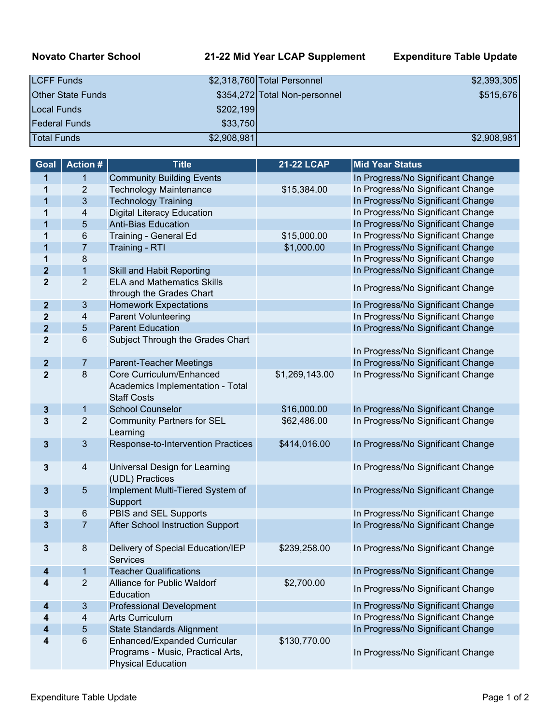### **Novato Charter School 21-22 Mid Year LCAP Supplement Expenditure Table Update**

| <b>LCFF Funds</b>        |             | \$2,318,760 Total Personnel   | \$2,393,305 |
|--------------------------|-------------|-------------------------------|-------------|
| <b>Other State Funds</b> |             | \$354,272 Total Non-personnel | \$515,676   |
| Local Funds              | \$202,199   |                               |             |
| <b>Federal Funds</b>     | \$33,750    |                               |             |
| <b>Total Funds</b>       | \$2,908,981 |                               | \$2,908,981 |

| Goal           | <b>Action#</b>           | <b>Title</b>                                                                                   | <b>21-22 LCAP</b> | <b>Mid Year Status</b>            |
|----------------|--------------------------|------------------------------------------------------------------------------------------------|-------------------|-----------------------------------|
| 1              | $\mathbf{1}$             | <b>Community Building Events</b>                                                               |                   | In Progress/No Significant Change |
| 1              | $\overline{2}$           | <b>Technology Maintenance</b>                                                                  | \$15,384.00       | In Progress/No Significant Change |
| 1              | $\mathbf{3}$             | <b>Technology Training</b>                                                                     |                   | In Progress/No Significant Change |
| 1              | 4                        | <b>Digital Literacy Education</b>                                                              |                   | In Progress/No Significant Change |
| 1              | $\sqrt{5}$               | <b>Anti-Bias Education</b>                                                                     |                   | In Progress/No Significant Change |
| 1              | 6                        | Training - General Ed                                                                          | \$15,000.00       | In Progress/No Significant Change |
| 1              | $\overline{7}$           | Training - RTI                                                                                 | \$1,000.00        | In Progress/No Significant Change |
| 1              | $\bf 8$                  |                                                                                                |                   | In Progress/No Significant Change |
| $\mathbf{2}$   | $\overline{1}$           | Skill and Habit Reporting                                                                      |                   | In Progress/No Significant Change |
| $\mathbf{2}$   | $\overline{2}$           | <b>ELA and Mathematics Skills</b><br>through the Grades Chart                                  |                   | In Progress/No Significant Change |
| $\mathbf{2}$   | $\mathbf{3}$             | <b>Homework Expectations</b>                                                                   |                   | In Progress/No Significant Change |
| $\mathbf 2$    | 4                        | Parent Volunteering                                                                            |                   | In Progress/No Significant Change |
| $\mathbf{2}$   | $\overline{5}$           | <b>Parent Education</b>                                                                        |                   | In Progress/No Significant Change |
| $\overline{2}$ | $\,6\,$                  | Subject Through the Grades Chart                                                               |                   | In Progress/No Significant Change |
| $\mathbf{2}$   | $\overline{7}$           | Parent-Teacher Meetings                                                                        |                   | In Progress/No Significant Change |
| $\overline{2}$ | $\bf 8$                  | Core Curriculum/Enhanced<br>Academics Implementation - Total<br><b>Staff Costs</b>             | \$1,269,143.00    | In Progress/No Significant Change |
| 3              | $\mathbf{1}$             | <b>School Counselor</b>                                                                        | \$16,000.00       | In Progress/No Significant Change |
| 3              | $\overline{2}$           | <b>Community Partners for SEL</b><br>Learning                                                  | \$62,486.00       | In Progress/No Significant Change |
| $\mathbf{3}$   | $\mathfrak{B}$           | Response-to-Intervention Practices                                                             | \$414,016.00      | In Progress/No Significant Change |
| 3              | 4                        | Universal Design for Learning<br>(UDL) Practices                                               |                   | In Progress/No Significant Change |
| 3              | $\overline{5}$           | Implement Multi-Tiered System of<br>Support                                                    |                   | In Progress/No Significant Change |
| 3              | 6                        | PBIS and SEL Supports                                                                          |                   | In Progress/No Significant Change |
| 3              | $\overline{7}$           | After School Instruction Support                                                               |                   | In Progress/No Significant Change |
| 3              | 8                        | Delivery of Special Education/IEP<br><b>Services</b>                                           | \$239,258.00      | In Progress/No Significant Change |
| 4              | 1                        | <b>Teacher Qualifications</b>                                                                  |                   | In Progress/No Significant Change |
| 4              | $\overline{2}$           | Alliance for Public Waldorf<br>Education                                                       | \$2,700.00        | In Progress/No Significant Change |
| 4              | $\mathfrak{B}$           | <b>Professional Development</b>                                                                |                   | In Progress/No Significant Change |
| 4              | $\overline{\mathcal{A}}$ | <b>Arts Curriculum</b>                                                                         |                   | In Progress/No Significant Change |
| 4              | $\sqrt{5}$               | <b>State Standards Alignment</b>                                                               |                   | In Progress/No Significant Change |
| 4              | $\,6\,$                  | Enhanced/Expanded Curricular<br>Programs - Music, Practical Arts,<br><b>Physical Education</b> | \$130,770.00      | In Progress/No Significant Change |